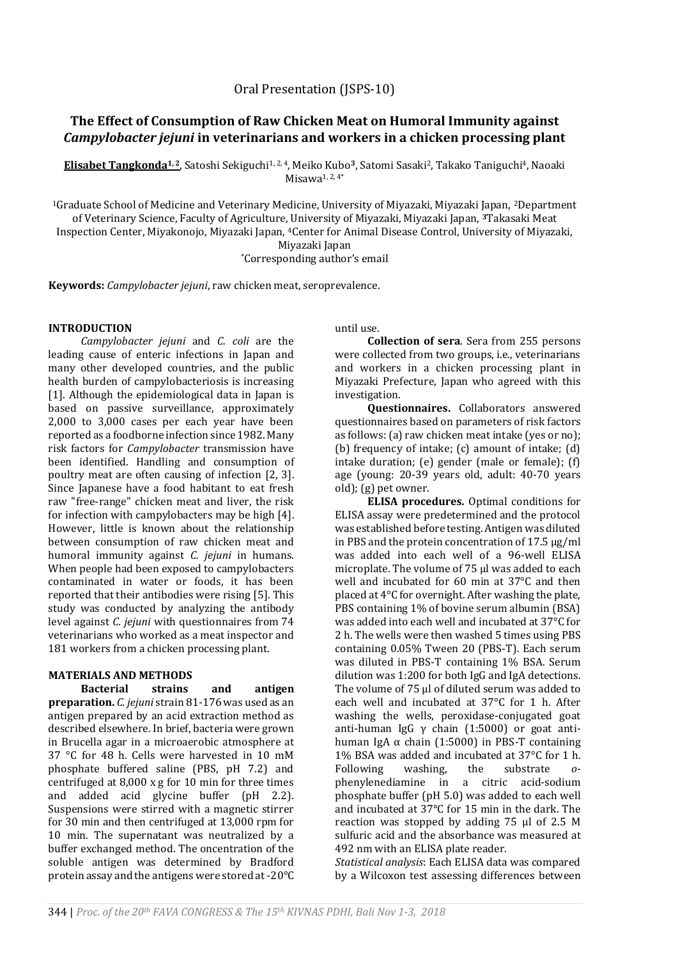# **The Effect of Consumption of Raw Chicken Meat on Humoral Immunity against**  *Campylobacter jejuni* **in veterinarians and workers in a chicken processing plant**

**Elisabet Tangkonda1, 2**, Satoshi Sekiguchi1, 2, 4, Meiko Kubo**3**, Satomi Sasaki2, Takako Taniguchi4, Naoaki  $M$ isawa $1, 2, 4^*$ 

<sup>1</sup>Graduate School of Medicine and Veterinary Medicine, University of Miyazaki, Miyazaki Japan, <sup>2</sup>Department of Veterinary Science, Faculty of Agriculture, University of Miyazaki, Miyazaki Japan, **3**Takasaki Meat Inspection Center, Miyakonojo, Miyazaki Japan, 4Center for Animal Disease Control, University of Miyazaki, Miyazaki Japan \*Corresponding author's email

**Keywords:** *Campylobacter jejuni*, raw chicken meat, seroprevalence.

## **INTRODUCTION**

*Campylobacter jejuni* and *C. coli* are the leading cause of enteric infections in Japan and many other developed countries, and the public health burden of campylobacteriosis is increasing [1]. Although the epidemiological data in Japan is based on passive surveillance, approximately 2,000 to 3,000 cases per each year have been reported as a foodborne infection since 1982. Many risk factors for *Campylobacter* transmission have been identified. Handling and consumption of poultry meat are often causing of infection [2, 3]. Since Japanese have a food habitant to eat fresh raw "free-range" chicken meat and liver, the risk for infection with campylobacters may be high [4]. However, little is known about the relationship between consumption of raw chicken meat and humoral immunity against *C. jejuni* in humans. When people had been exposed to campylobacters contaminated in water or foods, it has been reported that their antibodies were rising [5]. This study was conducted by analyzing the antibody level against *C. jejuni* with questionnaires from 74 veterinarians who worked as a meat inspector and 181 workers from a chicken processing plant.

# **MATERIALS AND METHODS**

**Bacterial strains and antigen preparation.** *C. jejuni* strain 81-176 was used as an antigen prepared by an acid extraction method as described elsewhere. In brief, bacteria were grown in Brucella agar in a microaerobic atmosphere at 37 °C for 48 h. Cells were harvested in 10 mM phosphate buffered saline (PBS, pH 7.2) and centrifuged at 8,000 x g for 10 min for three times and added acid glycine buffer (pH 2.2). Suspensions were stirred with a magnetic stirrer for 30 min and then centrifuged at 13,000 rpm for 10 min. The supernatant was neutralized by a buffer exchanged method. The oncentration of the soluble antigen was determined by Bradford protein assay and the antigens were stored at -20°C until use.

**Collection of sera**. Sera from 255 persons were collected from two groups, i.e., veterinarians and workers in a chicken processing plant in Miyazaki Prefecture, Japan who agreed with this investigation.

**Questionnaires.** Collaborators answered questionnaires based on parameters of risk factors as follows: (a) raw chicken meat intake (yes or no); (b) frequency of intake; (c) amount of intake; (d) intake duration; (e) gender (male or female); (f) age (young: 20-39 years old, adult: 40-70 years old); (g) pet owner.

**ELISA procedures.** Optimal conditions for ELISA assay were predetermined and the protocol was established before testing. Antigen was diluted in PBS and the protein concentration of 17.5 µg/ml was added into each well of a 96-well ELISA microplate. The volume of 75 µl was added to each well and incubated for 60 min at 37°C and then placed at 4°C for overnight. After washing the plate, PBS containing 1% of bovine serum albumin (BSA) was added into each well and incubated at 37°C for 2 h. The wells were then washed 5 times using PBS containing 0.05% Tween 20 (PBS-T). Each serum was diluted in PBS-T containing 1% BSA. Serum dilution was 1:200 for both IgG and IgA detections. The volume of 75 µl of diluted serum was added to each well and incubated at 37°C for 1 h. After washing the wells, peroxidase-conjugated goat anti-human IgG γ chain (1:5000) or goat antihuman IgA  $\alpha$  chain (1:5000) in PBS-T containing 1% BSA was added and incubated at 37°C for 1 h. Following washing, the substrate *o*phenylenediamine in a citric acid-sodium phosphate buffer (pH 5.0) was added to each well and incubated at 37°C for 15 min in the dark. The reaction was stopped by adding 75 μl of 2.5 M sulfuric acid and the absorbance was measured at 492 nm with an ELISA plate reader.

*Statistical analysis*: Each ELISA data was compared by a Wilcoxon test assessing differences between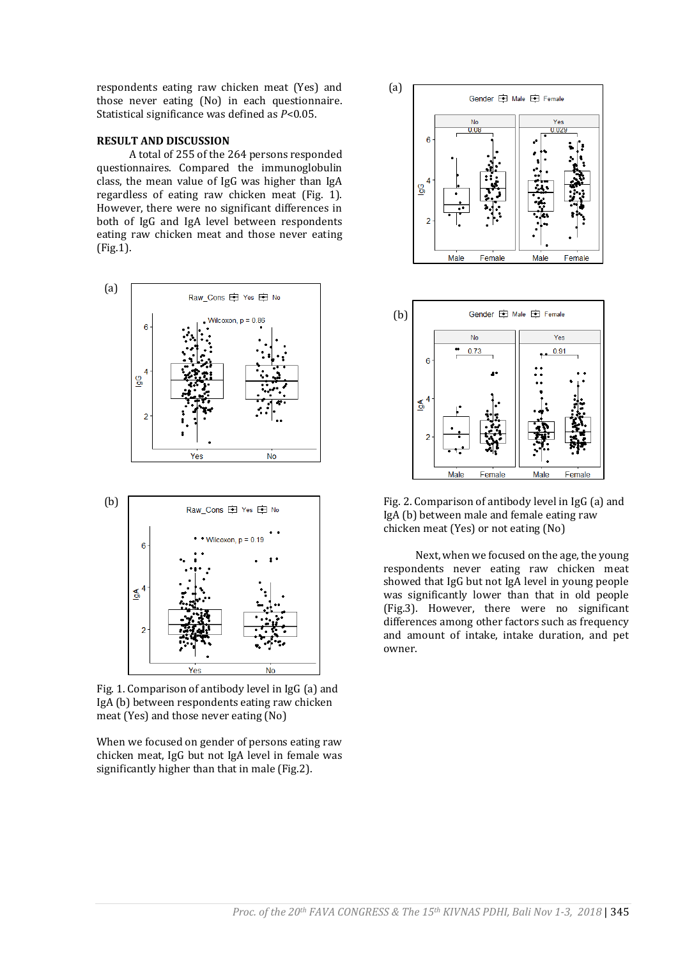respondents eating raw chicken meat (Yes) and those never eating (No) in each questionnaire. Statistical significance was defined as *P*<0.05.

#### **RESULT AND DISCUSSION**

A total of 255 of the 264 persons responded questionnaires. Compared the immunoglobulin class, the mean value of IgG was higher than IgA regardless of eating raw chicken meat (Fig. 1). However, there were no significant differences in both of IgG and IgA level between respondents eating raw chicken meat and those never eating (Fig.1).





Fig. 1. Comparison of antibody level in IgG (a) and IgA (b) between respondents eating raw chicken meat (Yes) and those never eating (No)

When we focused on gender of persons eating raw chicken meat, IgG but not IgA level in female was significantly higher than that in male (Fig.2).





Fig. 2. Comparison of antibody level in IgG (a) and IgA (b) between male and female eating raw chicken meat (Yes) or not eating (No)

Next, when we focused on the age, the young respondents never eating raw chicken meat showed that IgG but not IgA level in young people was significantly lower than that in old people (Fig.3). However, there were no significant differences among other factors such as frequency and amount of intake, intake duration, and pet owner.